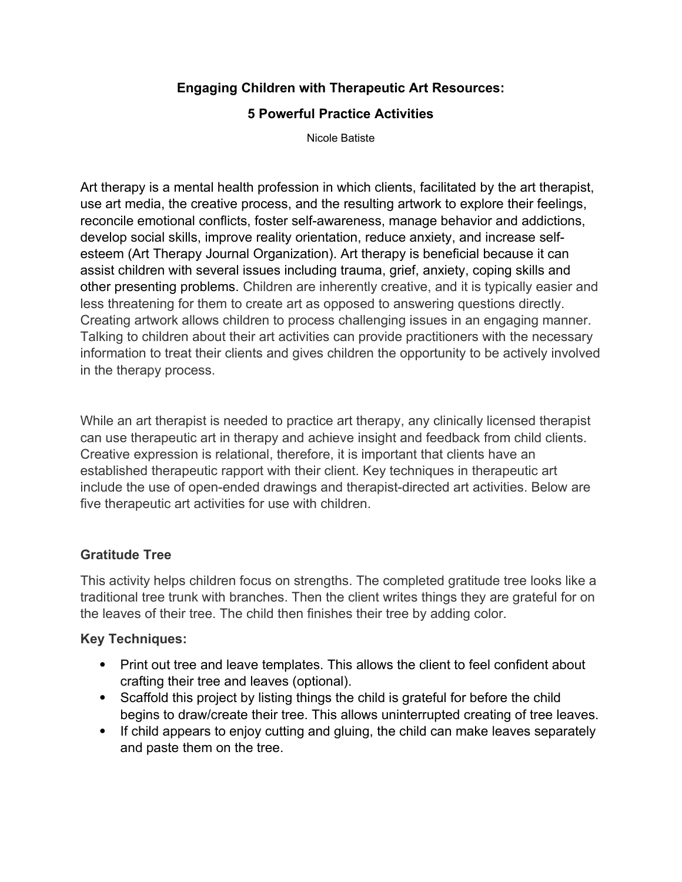### **Engaging Children with Therapeutic Art Resources:**

#### **5 Powerful Practice Activities**

Nicole Batiste

Art therapy is a mental health profession in which clients, facilitated by the art therapist, use art media, the creative process, and the resulting artwork to explore their feelings, reconcile emotional conflicts, foster self-awareness, manage behavior and addictions, develop social skills, improve reality orientation, reduce anxiety, and increase selfesteem (Art Therapy Journal Organization). Art therapy is beneficial because it can assist children with several issues including trauma, grief, anxiety, coping skills and other presenting problems. Children are inherently creative, and it is typically easier and less threatening for them to create art as opposed to answering questions directly. Creating artwork allows children to process challenging issues in an engaging manner. Talking to children about their art activities can provide practitioners with the necessary information to treat their clients and gives children the opportunity to be actively involved in the therapy process.

While an art therapist is needed to practice art therapy, any clinically licensed therapist can use therapeutic art in therapy and achieve insight and feedback from child clients. Creative expression is relational, therefore, it is important that clients have an established therapeutic rapport with their client. Key techniques in therapeutic art include the use of open-ended drawings and therapist-directed art activities. Below are five therapeutic art activities for use with children.

### **Gratitude Tree**

This activity helps children focus on strengths. The completed gratitude tree looks like a traditional tree trunk with branches. Then the client writes things they are grateful for on the leaves of their tree. The child then finishes their tree by adding color.

### **Key Techniques:**

- Print out tree and leave templates. This allows the client to feel confident about crafting their tree and leaves (optional).
- Scaffold this project by listing things the child is grateful for before the child begins to draw/create their tree. This allows uninterrupted creating of tree leaves.
- If child appears to enjoy cutting and gluing, the child can make leaves separately and paste them on the tree.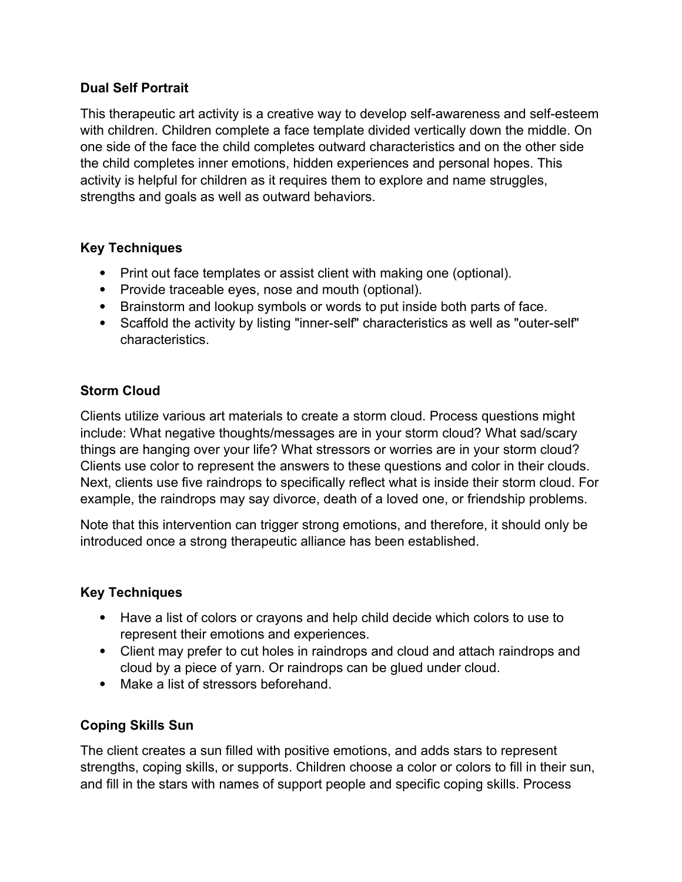### **Dual Self Portrait**

This therapeutic art activity is a creative way to develop self-awareness and self-esteem with children. Children complete a face template divided vertically down the middle. On one side of the face the child completes outward characteristics and on the other side the child completes inner emotions, hidden experiences and personal hopes. This activity is helpful for children as it requires them to explore and name struggles, strengths and goals as well as outward behaviors.

#### **Key Techniques**

- Print out face templates or assist client with making one (optional).
- Provide traceable eyes, nose and mouth (optional).
- Brainstorm and lookup symbols or words to put inside both parts of face.
- Scaffold the activity by listing "inner-self" characteristics as well as "outer-self" characteristics.

### **Storm Cloud**

Clients utilize various art materials to create a storm cloud. Process questions might include: What negative thoughts/messages are in your storm cloud? What sad/scary things are hanging over your life? What stressors or worries are in your storm cloud? Clients use color to represent the answers to these questions and color in their clouds. Next, clients use five raindrops to specifically reflect what is inside their storm cloud. For example, the raindrops may say divorce, death of a loved one, or friendship problems.

Note that this intervention can trigger strong emotions, and therefore, it should only be introduced once a strong therapeutic alliance has been established.

### **Key Techniques**

- Have a list of colors or crayons and help child decide which colors to use to represent their emotions and experiences.
- Client may prefer to cut holes in raindrops and cloud and attach raindrops and cloud by a piece of yarn. Or raindrops can be glued under cloud.
- Make a list of stressors beforehand.

### **Coping Skills Sun**

The client creates a sun filled with positive emotions, and adds stars to represent strengths, coping skills, or supports. Children choose a color or colors to fill in their sun, and fill in the stars with names of support people and specific coping skills. Process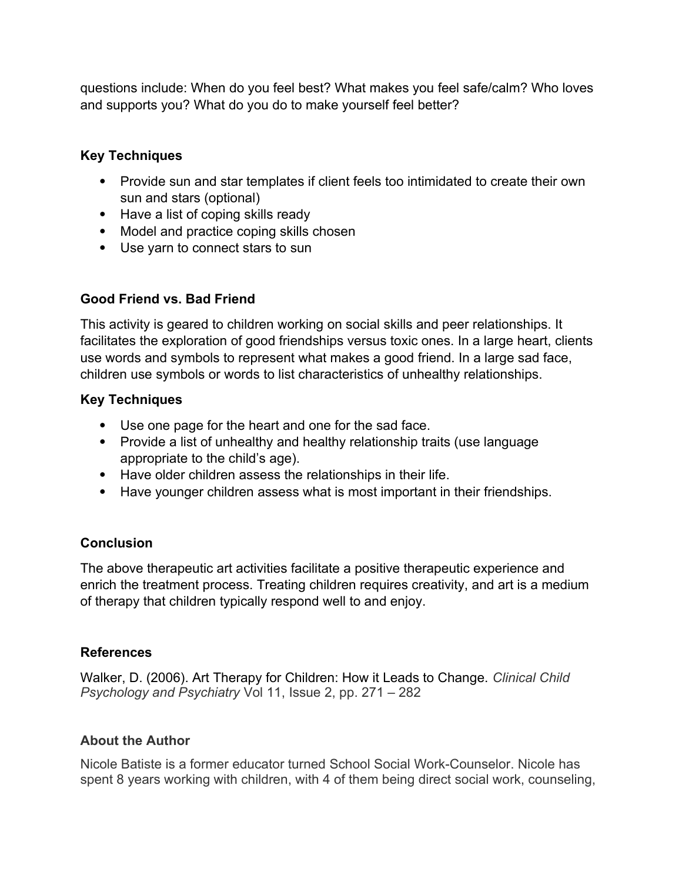questions include: When do you feel best? What makes you feel safe/calm? Who loves and supports you? What do you do to make yourself feel better?

### **Key Techniques**

- Provide sun and star templates if client feels too intimidated to create their own sun and stars (optional)
- Have a list of coping skills ready
- Model and practice coping skills chosen
- Use yarn to connect stars to sun

# **Good Friend vs. Bad Friend**

This activity is geared to children working on social skills and peer relationships. It facilitates the exploration of good friendships versus toxic ones. In a large heart, clients use words and symbols to represent what makes a good friend. In a large sad face, children use symbols or words to list characteristics of unhealthy relationships.

### **Key Techniques**

- Use one page for the heart and one for the sad face.
- Provide a list of unhealthy and healthy relationship traits (use language appropriate to the child's age).
- Have older children assess the relationships in their life.
- Have younger children assess what is most important in their friendships.

# **Conclusion**

The above therapeutic art activities facilitate a positive therapeutic experience and enrich the treatment process. Treating children requires creativity, and art is a medium of therapy that children typically respond well to and enjoy.

### **References**

Walker, D. (2006). Art Therapy for Children: How it Leads to Change. *Clinical Child Psychology and Psychiatry* Vol 11, Issue 2, pp. 271 – 282

# **About the Author**

Nicole Batiste is a former educator turned School Social Work-Counselor. Nicole has spent 8 years working with children, with 4 of them being direct social work, counseling,